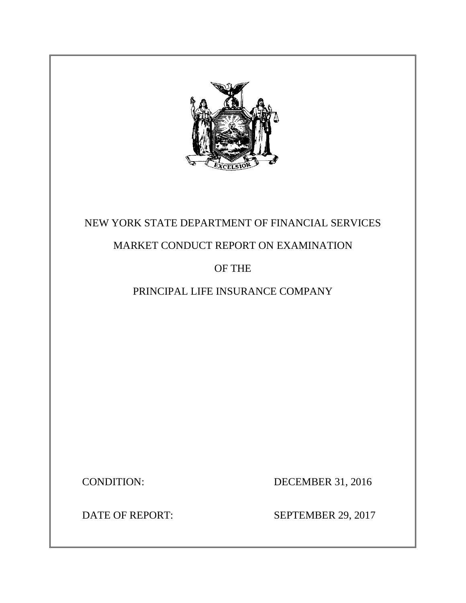

# NEW YORK STATE DEPARTMENT OF FINANCIAL SERVICES

# MARKET CONDUCT REPORT ON EXAMINATION

# OF THE

# PRINCIPAL LIFE INSURANCE COMPANY

CONDITION: DECEMBER 31, 2016

DATE OF REPORT: SEPTEMBER 29, 2017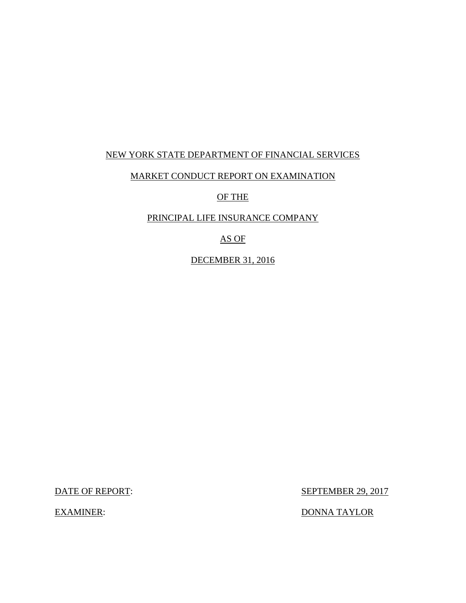## NEW YORK STATE DEPARTMENT OF FINANCIAL SERVICES

## MARKET CONDUCT REPORT ON EXAMINATION

OF THE

## PRINCIPAL LIFE INSURANCE COMPANY

AS OF

DECEMBER 31, 2016

DATE OF REPORT: SEPTEMBER 29, 2017

EXAMINER: DONNA TAYLOR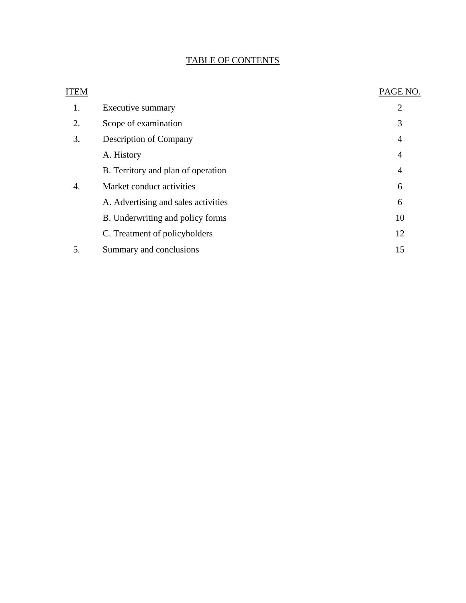## TABLE OF CONTENTS

| ITEM |                                     | PAGE NO.       |
|------|-------------------------------------|----------------|
| 1.   | Executive summary                   | $\overline{2}$ |
| 2.   | Scope of examination                | 3              |
| 3.   | <b>Description of Company</b>       | $\overline{4}$ |
|      | A. History                          | $\overline{4}$ |
|      | B. Territory and plan of operation  | $\overline{4}$ |
| 4.   | Market conduct activities           | 6              |
|      | A. Advertising and sales activities | 6              |
|      | B. Underwriting and policy forms    | 10             |
|      | C. Treatment of policyholders       | 12             |
| 5.   | Summary and conclusions             | 15             |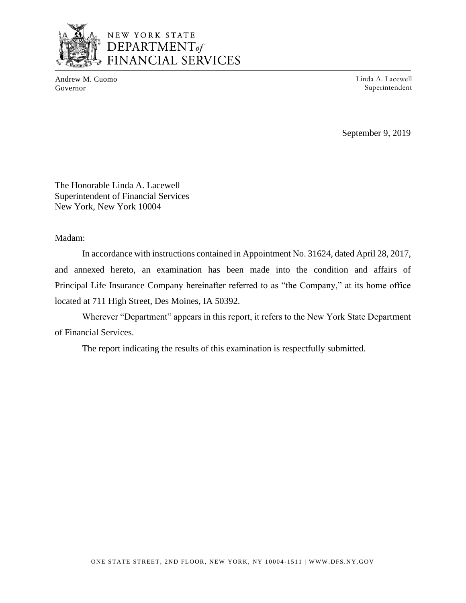

## NEW YORK STATE DEPARTMENT<sub>of</sub> **FINANCIAL SERVICES**

Andrew M. Cuomo Governor

Linda A. Lacewell Superintendent

September 9, 2019

The Honorable Linda A. Lacewell Superintendent of Financial Services New York, New York 10004

### Madam:

In accordance with instructions contained in Appointment No. 31624, dated April 28, 2017, and annexed hereto, an examination has been made into the condition and affairs of Principal Life Insurance Company hereinafter referred to as "the Company," at its home office located at 711 High Street, Des Moines, IA 50392.

Wherever "Department" appears in this report, it refers to the New York State Department of Financial Services.

The report indicating the results of this examination is respectfully submitted.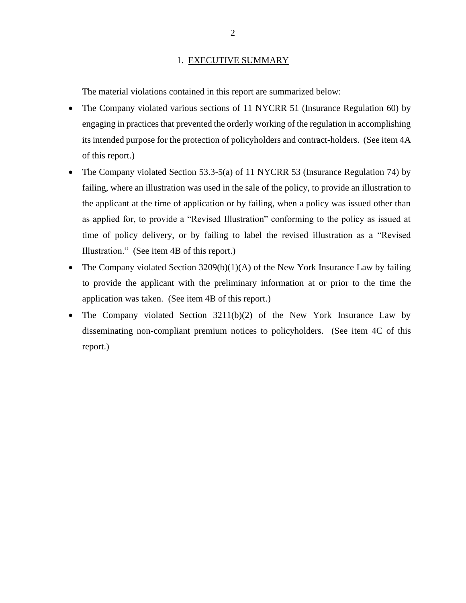#### 1. EXECUTIVE SUMMARY

The material violations contained in this report are summarized below:

- The Company violated various sections of 11 NYCRR 51 (Insurance Regulation 60) by engaging in practices that prevented the orderly working of the regulation in accomplishing its intended purpose for the protection of policyholders and contract-holders. (See item 4A of this report.)
- The Company violated Section 53.3-5(a) of 11 NYCRR 53 (Insurance Regulation 74) by failing, where an illustration was used in the sale of the policy, to provide an illustration to the applicant at the time of application or by failing, when a policy was issued other than as applied for, to provide a "Revised Illustration" conforming to the policy as issued at time of policy delivery, or by failing to label the revised illustration as a "Revised Illustration." (See item 4B of this report.)
- The Company violated Section  $3209(b)(1)(A)$  of the New York Insurance Law by failing to provide the applicant with the preliminary information at or prior to the time the application was taken. (See item 4B of this report.)
- The Company violated Section  $3211(b)(2)$  of the New York Insurance Law by disseminating non-compliant premium notices to policyholders. (See item 4C of this report.)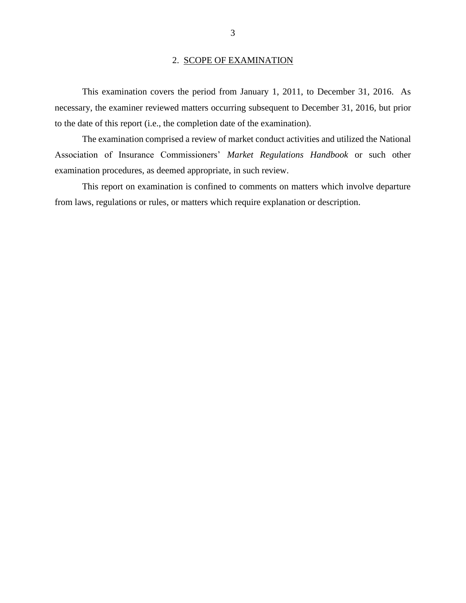#### 2. SCOPE OF EXAMINATION

This examination covers the period from January 1, 2011, to December 31, 2016. As necessary, the examiner reviewed matters occurring subsequent to December 31, 2016, but prior to the date of this report (i.e., the completion date of the examination).

The examination comprised a review of market conduct activities and utilized the National Association of Insurance Commissioners' *Market Regulations Handbook* or such other examination procedures, as deemed appropriate, in such review.

This report on examination is confined to comments on matters which involve departure from laws, regulations or rules, or matters which require explanation or description.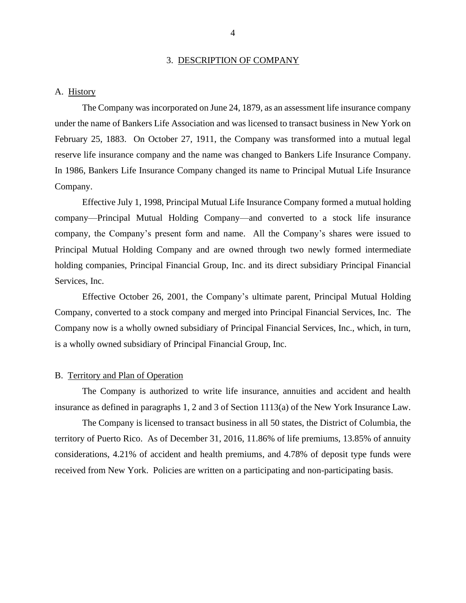#### 3. DESCRIPTION OF COMPANY

#### A. History

The Company was incorporated on June 24, 1879, as an assessment life insurance company under the name of Bankers Life Association and was licensed to transact business in New York on February 25, 1883. On October 27, 1911, the Company was transformed into a mutual legal reserve life insurance company and the name was changed to Bankers Life Insurance Company. In 1986, Bankers Life Insurance Company changed its name to Principal Mutual Life Insurance Company.

Effective July 1, 1998, Principal Mutual Life Insurance Company formed a mutual holding company—Principal Mutual Holding Company—and converted to a stock life insurance company, the Company's present form and name. All the Company's shares were issued to Principal Mutual Holding Company and are owned through two newly formed intermediate holding companies, Principal Financial Group, Inc. and its direct subsidiary Principal Financial Services, Inc.

Effective October 26, 2001, the Company's ultimate parent, Principal Mutual Holding Company, converted to a stock company and merged into Principal Financial Services, Inc. The Company now is a wholly owned subsidiary of Principal Financial Services, Inc., which, in turn, is a wholly owned subsidiary of Principal Financial Group, Inc.

#### B. Territory and Plan of Operation

The Company is authorized to write life insurance, annuities and accident and health insurance as defined in paragraphs 1, 2 and 3 of Section 1113(a) of the New York Insurance Law.

The Company is licensed to transact business in all 50 states, the District of Columbia, the territory of Puerto Rico. As of December 31, 2016, 11.86% of life premiums, 13.85% of annuity considerations, 4.21% of accident and health premiums, and 4.78% of deposit type funds were received from New York. Policies are written on a participating and non-participating basis.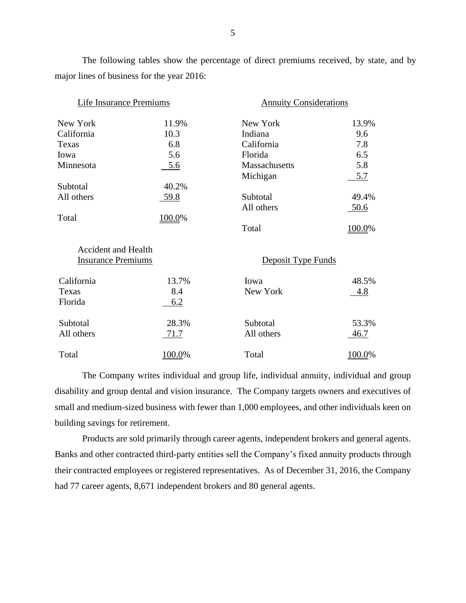The following tables show the percentage of direct premiums received, by state, and by major lines of business for the year 2016:

| Life Insurance Premiums    |        | <b>Annuity Considerations</b> |             |
|----------------------------|--------|-------------------------------|-------------|
| New York                   | 11.9%  | New York                      | 13.9%       |
| California                 | 10.3   | Indiana                       | 9.6         |
| Texas                      | 6.8    | California                    | 7.8         |
| Iowa                       | 5.6    | Florida                       | 6.5         |
| Minnesota                  | 5.6    | Massachusetts                 | 5.8         |
|                            |        | Michigan                      | <u>5.7</u>  |
| Subtotal                   | 40.2%  |                               |             |
| All others                 | 59.8   | Subtotal                      | 49.4%       |
|                            |        | All others                    | 50.6        |
| Total                      | 100.0% |                               |             |
|                            |        | Total                         | 100.0%      |
| <b>Accident and Health</b> |        |                               |             |
| <b>Insurance Premiums</b>  |        | Deposit Type Funds            |             |
| California                 | 13.7%  | Iowa                          | 48.5%       |
| Texas                      | 8.4    | New York                      | 4.8         |
| Florida                    | 6.2    |                               |             |
| Subtotal                   | 28.3%  | Subtotal                      | 53.3%       |
| All others                 | 71.7   | All others                    | <u>46.7</u> |
| Total                      | 100.0% | Total                         | 100.0%      |

The Company writes individual and group life, individual annuity, individual and group disability and group dental and vision insurance. The Company targets owners and executives of small and medium-sized business with fewer than 1,000 employees, and other individuals keen on building savings for retirement.

Products are sold primarily through career agents, independent brokers and general agents. Banks and other contracted third-party entities sell the Company's fixed annuity products through their contracted employees or registered representatives. As of December 31, 2016, the Company had 77 career agents, 8,671 independent brokers and 80 general agents.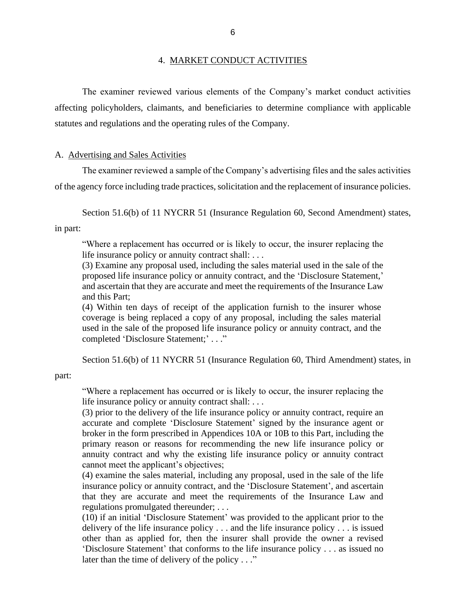#### 4. MARKET CONDUCT ACTIVITIES

The examiner reviewed various elements of the Company's market conduct activities affecting policyholders, claimants, and beneficiaries to determine compliance with applicable statutes and regulations and the operating rules of the Company.

#### A. Advertising and Sales Activities

The examiner reviewed a sample of the Company's advertising files and the sales activities of the agency force including trade practices, solicitation and the replacement of insurance policies.

Section 51.6(b) of 11 NYCRR 51 (Insurance Regulation 60, Second Amendment) states,

in part:

"Where a replacement has occurred or is likely to occur, the insurer replacing the life insurance policy or annuity contract shall: . . .

(3) Examine any proposal used, including the sales material used in the sale of the proposed life insurance policy or annuity contract, and the 'Disclosure Statement,' and ascertain that they are accurate and meet the requirements of the Insurance Law and this Part;

(4) Within ten days of receipt of the application furnish to the insurer whose coverage is being replaced a copy of any proposal, including the sales material used in the sale of the proposed life insurance policy or annuity contract, and the completed 'Disclosure Statement;' . . ."

Section 51.6(b) of 11 NYCRR 51 (Insurance Regulation 60, Third Amendment) states, in

part:

"Where a replacement has occurred or is likely to occur, the insurer replacing the life insurance policy or annuity contract shall: . . .

(3) prior to the delivery of the life insurance policy or annuity contract, require an accurate and complete 'Disclosure Statement' signed by the insurance agent or broker in the form prescribed in Appendices 10A or 10B to this Part, including the primary reason or reasons for recommending the new life insurance policy or annuity contract and why the existing life insurance policy or annuity contract cannot meet the applicant's objectives;

(4) examine the sales material, including any proposal, used in the sale of the life insurance policy or annuity contract, and the 'Disclosure Statement', and ascertain that they are accurate and meet the requirements of the Insurance Law and regulations promulgated thereunder; . . .

(10) if an initial 'Disclosure Statement' was provided to the applicant prior to the delivery of the life insurance policy . . . and the life insurance policy . . . is issued other than as applied for, then the insurer shall provide the owner a revised 'Disclosure Statement' that conforms to the life insurance policy . . . as issued no later than the time of delivery of the policy . . ."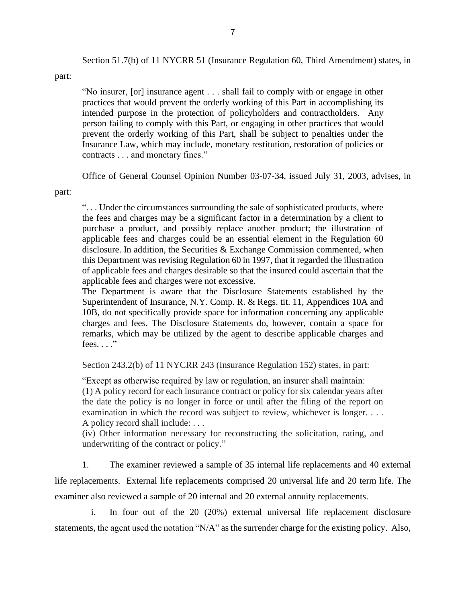Section 51.7(b) of 11 NYCRR 51 (Insurance Regulation 60, Third Amendment) states, in

part:

"No insurer, [or] insurance agent . . . shall fail to comply with or engage in other practices that would prevent the orderly working of this Part in accomplishing its intended purpose in the protection of policyholders and contractholders. Any person failing to comply with this Part, or engaging in other practices that would prevent the orderly working of this Part, shall be subject to penalties under the Insurance Law, which may include, monetary restitution, restoration of policies or contracts . . . and monetary fines."

Office of General Counsel Opinion Number 03-07-34, issued July 31, 2003, advises, in

part:

". . . Under the circumstances surrounding the sale of sophisticated products, where the fees and charges may be a significant factor in a determination by a client to purchase a product, and possibly replace another product; the illustration of applicable fees and charges could be an essential element in the Regulation 60 disclosure. In addition, the Securities & Exchange Commission commented, when this Department was revising Regulation 60 in 1997, that it regarded the illustration of applicable fees and charges desirable so that the insured could ascertain that the applicable fees and charges were not excessive.

The Department is aware that the Disclosure Statements established by the Superintendent of Insurance, N.Y. Comp. R. & Regs. tit. 11, Appendices 10A and 10B, do not specifically provide space for information concerning any applicable charges and fees. The Disclosure Statements do, however, contain a space for remarks, which may be utilized by the agent to describe applicable charges and fees.  $\ldots$ ."

Section 243.2(b) of 11 NYCRR 243 (Insurance Regulation 152) states, in part:

"Except as otherwise required by law or regulation, an insurer shall maintain: (1) A policy record for each insurance contract or policy for six calendar years after the date the policy is no longer in force or until after the filing of the report on examination in which the record was subject to review, whichever is longer. . . . A policy record shall include: . . .

(iv) Other information necessary for reconstructing the solicitation, rating, and underwriting of the contract or policy."

1. The examiner reviewed a sample of 35 internal life replacements and 40 external life replacements. External life replacements comprised 20 universal life and 20 term life. The examiner also reviewed a sample of 20 internal and 20 external annuity replacements.

i. In four out of the 20 (20%) external universal life replacement disclosure statements, the agent used the notation "N/A" as the surrender charge for the existing policy. Also,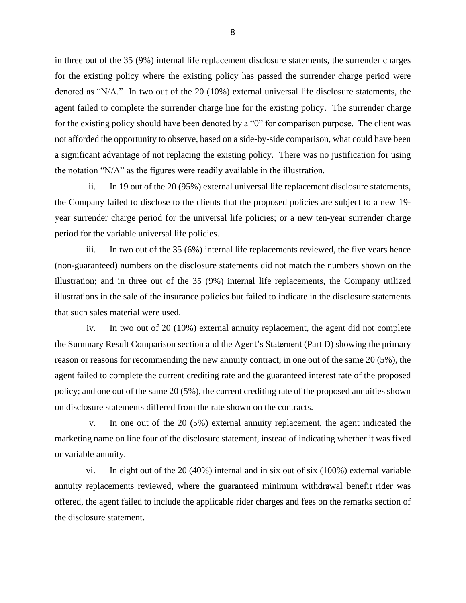in three out of the 35 (9%) internal life replacement disclosure statements, the surrender charges for the existing policy where the existing policy has passed the surrender charge period were denoted as "N/A." In two out of the 20 (10%) external universal life disclosure statements, the agent failed to complete the surrender charge line for the existing policy. The surrender charge for the existing policy should have been denoted by a "0" for comparison purpose. The client was not afforded the opportunity to observe, based on a side-by-side comparison, what could have been a significant advantage of not replacing the existing policy. There was no justification for using the notation "N/A" as the figures were readily available in the illustration.

ii. In 19 out of the 20 (95%) external universal life replacement disclosure statements, the Company failed to disclose to the clients that the proposed policies are subject to a new 19 year surrender charge period for the universal life policies; or a new ten-year surrender charge period for the variable universal life policies.

iii. In two out of the 35 (6%) internal life replacements reviewed, the five years hence (non-guaranteed) numbers on the disclosure statements did not match the numbers shown on the illustration; and in three out of the 35 (9%) internal life replacements, the Company utilized illustrations in the sale of the insurance policies but failed to indicate in the disclosure statements that such sales material were used.

iv. In two out of 20 (10%) external annuity replacement, the agent did not complete the Summary Result Comparison section and the Agent's Statement (Part D) showing the primary reason or reasons for recommending the new annuity contract; in one out of the same 20 (5%), the agent failed to complete the current crediting rate and the guaranteed interest rate of the proposed policy; and one out of the same 20 (5%), the current crediting rate of the proposed annuities shown on disclosure statements differed from the rate shown on the contracts.

v. In one out of the 20 (5%) external annuity replacement, the agent indicated the marketing name on line four of the disclosure statement, instead of indicating whether it was fixed or variable annuity.

vi. In eight out of the 20 (40%) internal and in six out of six (100%) external variable annuity replacements reviewed, where the guaranteed minimum withdrawal benefit rider was offered, the agent failed to include the applicable rider charges and fees on the remarks section of the disclosure statement.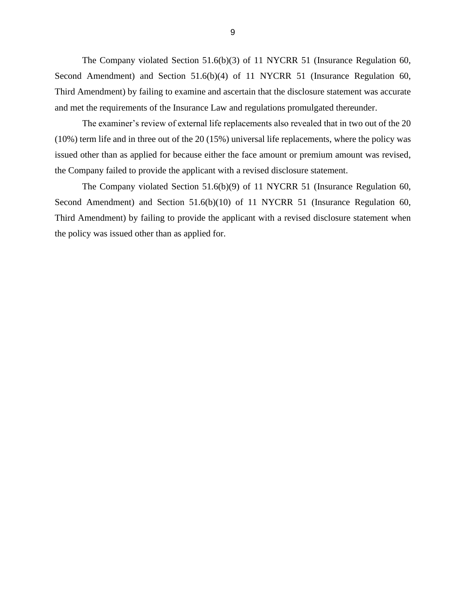The Company violated Section 51.6(b)(3) of 11 NYCRR 51 (Insurance Regulation 60, Second Amendment) and Section 51.6(b)(4) of 11 NYCRR 51 (Insurance Regulation 60, Third Amendment) by failing to examine and ascertain that the disclosure statement was accurate and met the requirements of the Insurance Law and regulations promulgated thereunder.

The examiner's review of external life replacements also revealed that in two out of the 20 (10%) term life and in three out of the 20 (15%) universal life replacements, where the policy was issued other than as applied for because either the face amount or premium amount was revised, the Company failed to provide the applicant with a revised disclosure statement.

The Company violated Section 51.6(b)(9) of 11 NYCRR 51 (Insurance Regulation 60, Second Amendment) and Section 51.6(b)(10) of 11 NYCRR 51 (Insurance Regulation 60, Third Amendment) by failing to provide the applicant with a revised disclosure statement when the policy was issued other than as applied for.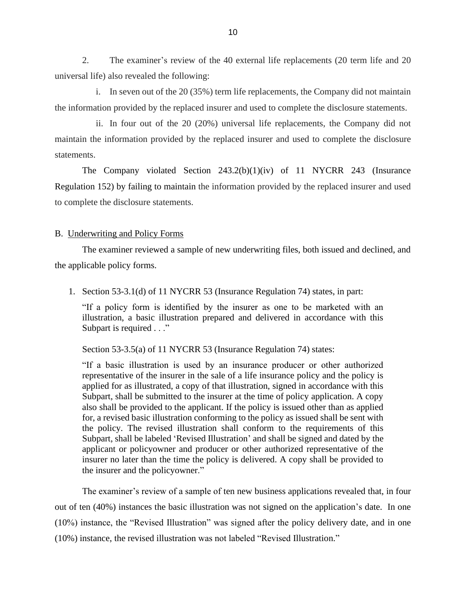2. The examiner's review of the 40 external life replacements (20 term life and 20 universal life) also revealed the following:

i. In seven out of the 20 (35%) term life replacements, the Company did not maintain the information provided by the replaced insurer and used to complete the disclosure statements.

ii. In four out of the 20 (20%) universal life replacements, the Company did not maintain the information provided by the replaced insurer and used to complete the disclosure statements.

The Company violated Section 243.2(b)(1)(iv) of 11 NYCRR 243 (Insurance Regulation 152) by failing to maintain the information provided by the replaced insurer and used to complete the disclosure statements.

#### B. Underwriting and Policy Forms

The examiner reviewed a sample of new underwriting files, both issued and declined, and the applicable policy forms.

1. Section 53-3.1(d) of 11 NYCRR 53 (Insurance Regulation 74) states, in part:

"If a policy form is identified by the insurer as one to be marketed with an illustration, a basic illustration prepared and delivered in accordance with this Subpart is required . . ."

Section 53-3.5(a) of 11 NYCRR 53 (Insurance Regulation 74) states:

"If a basic illustration is used by an insurance producer or other authorized representative of the insurer in the sale of a life insurance policy and the policy is applied for as illustrated, a copy of that illustration, signed in accordance with this Subpart, shall be submitted to the insurer at the time of policy application. A copy also shall be provided to the applicant. If the policy is issued other than as applied for, a revised basic illustration conforming to the policy as issued shall be sent with the policy. The revised illustration shall conform to the requirements of this Subpart, shall be labeled 'Revised Illustration' and shall be signed and dated by the applicant or policyowner and producer or other authorized representative of the insurer no later than the time the policy is delivered. A copy shall be provided to the insurer and the policyowner."

The examiner's review of a sample of ten new business applications revealed that, in four out of ten (40%) instances the basic illustration was not signed on the application's date. In one (10%) instance, the "Revised Illustration" was signed after the policy delivery date, and in one (10%) instance, the revised illustration was not labeled "Revised Illustration."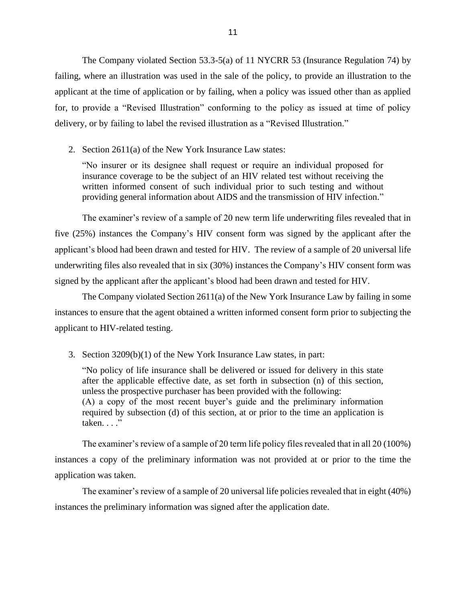The Company violated Section 53.3-5(a) of 11 NYCRR 53 (Insurance Regulation 74) by failing, where an illustration was used in the sale of the policy, to provide an illustration to the applicant at the time of application or by failing, when a policy was issued other than as applied for, to provide a "Revised Illustration" conforming to the policy as issued at time of policy delivery, or by failing to label the revised illustration as a "Revised Illustration."

2. Section 2611(a) of the New York Insurance Law states:

"No insurer or its designee shall request or require an individual proposed for insurance coverage to be the subject of an HIV related test without receiving the written informed consent of such individual prior to such testing and without providing general information about AIDS and the transmission of HIV infection."

The examiner's review of a sample of 20 new term life underwriting files revealed that in five (25%) instances the Company's HIV consent form was signed by the applicant after the applicant's blood had been drawn and tested for HIV. The review of a sample of 20 universal life underwriting files also revealed that in six (30%) instances the Company's HIV consent form was signed by the applicant after the applicant's blood had been drawn and tested for HIV.

The Company violated Section 2611(a) of the New York Insurance Law by failing in some instances to ensure that the agent obtained a written informed consent form prior to subjecting the applicant to HIV-related testing.

3. Section 3209(b)(1) of the New York Insurance Law states, in part:

"No policy of life insurance shall be delivered or issued for delivery in this state after the applicable effective date, as set forth in subsection (n) of this section, unless the prospective purchaser has been provided with the following: (A) a copy of the most recent buyer's guide and the preliminary information required by subsection (d) of this section, at or prior to the time an application is taken. . . ."

The examiner's review of a sample of 20 term life policy files revealed that in all 20 (100%) instances a copy of the preliminary information was not provided at or prior to the time the application was taken.

The examiner's review of a sample of 20 universal life policies revealed that in eight (40%) instances the preliminary information was signed after the application date.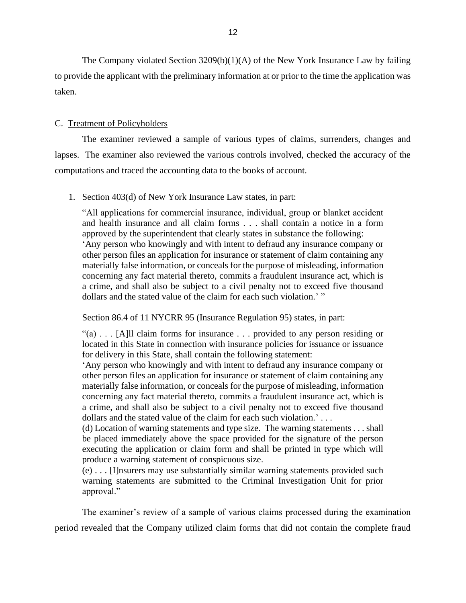The Company violated Section 3209(b)(1)(A) of the New York Insurance Law by failing to provide the applicant with the preliminary information at or prior to the time the application was taken.

#### C. Treatment of Policyholders

The examiner reviewed a sample of various types of claims, surrenders, changes and lapses. The examiner also reviewed the various controls involved, checked the accuracy of the computations and traced the accounting data to the books of account.

1. Section 403(d) of New York Insurance Law states, in part:

"All applications for commercial insurance, individual, group or blanket accident and health insurance and all claim forms . . . shall contain a notice in a form approved by the superintendent that clearly states in substance the following: 'Any person who knowingly and with intent to defraud any insurance company or other person files an application for insurance or statement of claim containing any materially false information, or conceals for the purpose of misleading, information concerning any fact material thereto, commits a fraudulent insurance act, which is a crime, and shall also be subject to a civil penalty not to exceed five thousand dollars and the stated value of the claim for each such violation.' "

Section 86.4 of 11 NYCRR 95 (Insurance Regulation 95) states, in part:

"(a) . . . [A]ll claim forms for insurance . . . provided to any person residing or located in this State in connection with insurance policies for issuance or issuance for delivery in this State, shall contain the following statement:

'Any person who knowingly and with intent to defraud any insurance company or other person files an application for insurance or statement of claim containing any materially false information, or conceals for the purpose of misleading, information concerning any fact material thereto, commits a fraudulent insurance act, which is a crime, and shall also be subject to a civil penalty not to exceed five thousand dollars and the stated value of the claim for each such violation.' . . .

(d) Location of warning statements and type size. The warning statements . . . shall be placed immediately above the space provided for the signature of the person executing the application or claim form and shall be printed in type which will produce a warning statement of conspicuous size.

(e) . . . [I]nsurers may use substantially similar warning statements provided such warning statements are submitted to the Criminal Investigation Unit for prior approval."

The examiner's review of a sample of various claims processed during the examination period revealed that the Company utilized claim forms that did not contain the complete fraud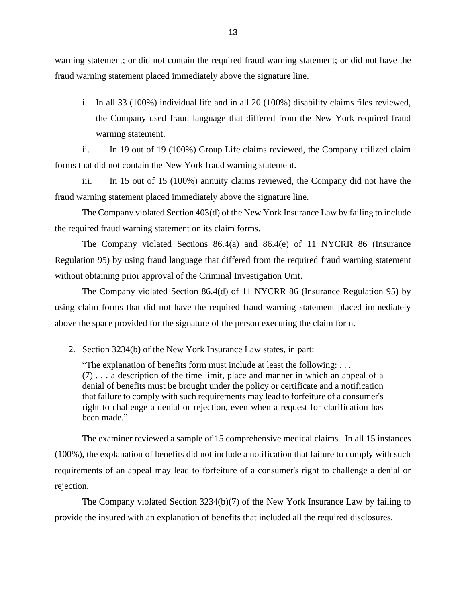warning statement; or did not contain the required fraud warning statement; or did not have the fraud warning statement placed immediately above the signature line.

i. In all 33 (100%) individual life and in all 20 (100%) disability claims files reviewed, the Company used fraud language that differed from the New York required fraud warning statement.

ii. In 19 out of 19 (100%) Group Life claims reviewed, the Company utilized claim forms that did not contain the New York fraud warning statement.

iii. In 15 out of 15 (100%) annuity claims reviewed, the Company did not have the fraud warning statement placed immediately above the signature line.

The Company violated Section 403(d) of the New York Insurance Law by failing to include the required fraud warning statement on its claim forms.

The Company violated Sections 86.4(a) and 86.4(e) of 11 NYCRR 86 (Insurance Regulation 95) by using fraud language that differed from the required fraud warning statement without obtaining prior approval of the Criminal Investigation Unit.

The Company violated Section 86.4(d) of 11 NYCRR 86 (Insurance Regulation 95) by using claim forms that did not have the required fraud warning statement placed immediately above the space provided for the signature of the person executing the claim form.

2. Section 3234(b) of the New York Insurance Law states, in part:

"The explanation of benefits form must include at least the following: . . . (7) . . . a description of the time limit, place and manner in which an appeal of a denial of benefits must be brought under the policy or certificate and a notification that failure to comply with such requirements may lead to forfeiture of a consumer's right to challenge a denial or rejection, even when a request for clarification has been made."

The examiner reviewed a sample of 15 comprehensive medical claims. In all 15 instances (100%), the explanation of benefits did not include a notification that failure to comply with such requirements of an appeal may lead to forfeiture of a consumer's right to challenge a denial or rejection.

The Company violated Section 3234(b)(7) of the New York Insurance Law by failing to provide the insured with an explanation of benefits that included all the required disclosures.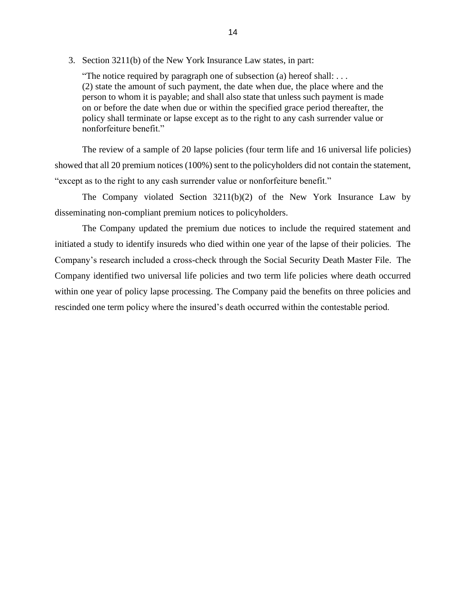3. Section 3211(b) of the New York Insurance Law states, in part:

"The notice required by paragraph one of subsection (a) hereof shall: ... (2) state the amount of such payment, the date when due, the place where and the person to whom it is payable; and shall also state that unless such payment is made on or before the date when due or within the specified grace period thereafter, the policy shall terminate or lapse except as to the right to any cash surrender value or nonforfeiture benefit."

The review of a sample of 20 lapse policies (four term life and 16 universal life policies) showed that all 20 premium notices (100%) sent to the policyholders did not contain the statement, "except as to the right to any cash surrender value or nonforfeiture benefit."

The Company violated Section 3211(b)(2) of the New York Insurance Law by disseminating non-compliant premium notices to policyholders.

The Company updated the premium due notices to include the required statement and initiated a study to identify insureds who died within one year of the lapse of their policies. The Company's research included a cross-check through the Social Security Death Master File. The Company identified two universal life policies and two term life policies where death occurred within one year of policy lapse processing. The Company paid the benefits on three policies and rescinded one term policy where the insured's death occurred within the contestable period.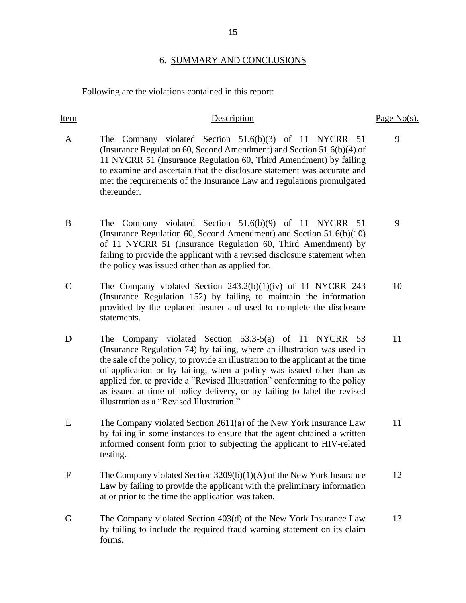#### 6. SUMMARY AND CONCLUSIONS

Following are the violations contained in this report:

#### Item Description Page No(s).

- A The Company violated Section 51.6(b)(3) of 11 NYCRR 51 (Insurance Regulation 60, Second Amendment) and Section 51.6(b)(4) of 11 NYCRR 51 (Insurance Regulation 60, Third Amendment) by failing to examine and ascertain that the disclosure statement was accurate and met the requirements of the Insurance Law and regulations promulgated thereunder.
- B The Company violated Section 51.6(b)(9) of 11 NYCRR 51 (Insurance Regulation 60, Second Amendment) and Section 51.6(b)(10) of 11 NYCRR 51 (Insurance Regulation 60, Third Amendment) by failing to provide the applicant with a revised disclosure statement when the policy was issued other than as applied for. 9
- C The Company violated Section 243.2(b)(1)(iv) of 11 NYCRR 243 (Insurance Regulation 152) by failing to maintain the information provided by the replaced insurer and used to complete the disclosure statements. 10
- D The Company violated Section 53.3-5(a) of 11 NYCRR 53 (Insurance Regulation 74) by failing, where an illustration was used in the sale of the policy, to provide an illustration to the applicant at the time of application or by failing, when a policy was issued other than as applied for, to provide a "Revised Illustration" conforming to the policy as issued at time of policy delivery, or by failing to label the revised illustration as a "Revised Illustration."
- E The Company violated Section 2611(a) of the New York Insurance Law by failing in some instances to ensure that the agent obtained a written informed consent form prior to subjecting the applicant to HIV-related testing. 11
- F The Company violated Section 3209(b)(1)(A) of the New York Insurance Law by failing to provide the applicant with the preliminary information at or prior to the time the application was taken. 12
- G The Company violated Section 403(d) of the New York Insurance Law by failing to include the required fraud warning statement on its claim forms. 13

9

11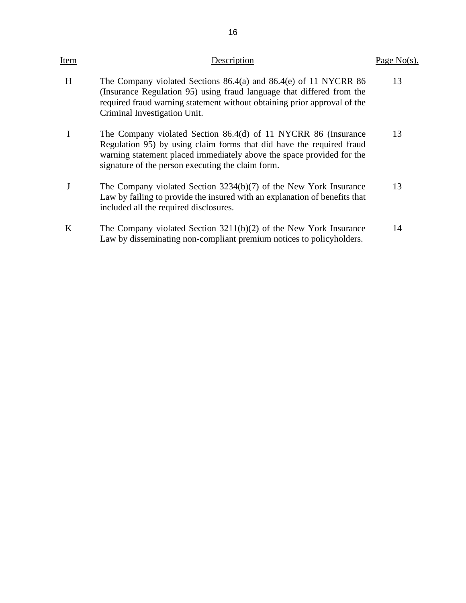| Item | Description                                                                                                                                                                                                                                                          | Page $No(s)$ . |
|------|----------------------------------------------------------------------------------------------------------------------------------------------------------------------------------------------------------------------------------------------------------------------|----------------|
| H    | The Company violated Sections $86.4(a)$ and $86.4(e)$ of 11 NYCRR $86$<br>(Insurance Regulation 95) using fraud language that differed from the<br>required fraud warning statement without obtaining prior approval of the<br>Criminal Investigation Unit.          | 13             |
|      | The Company violated Section 86.4(d) of 11 NYCRR 86 (Insurance<br>Regulation 95) by using claim forms that did have the required fraud<br>warning statement placed immediately above the space provided for the<br>signature of the person executing the claim form. | 13             |
|      | The Company violated Section 3234(b)(7) of the New York Insurance<br>Law by failing to provide the insured with an explanation of benefits that<br>included all the required disclosures.                                                                            | 13             |
| K    | The Company violated Section $3211(b)(2)$ of the New York Insurance<br>Law by disseminating non-compliant premium notices to policyholders.                                                                                                                          | 14             |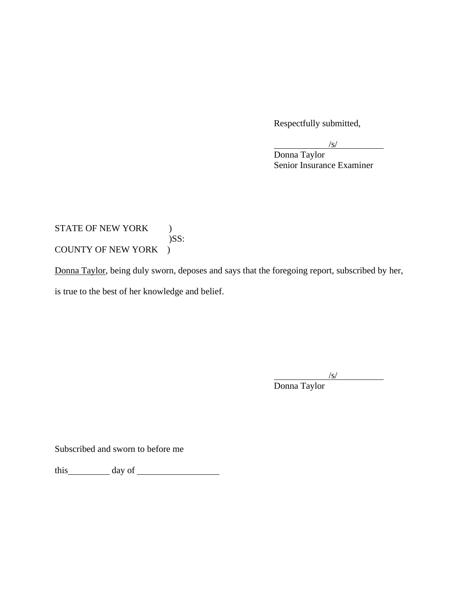Respectfully submitted,

Donna Taylor Senior Insurance Examiner

## STATE OF NEW YORK ) )SS: COUNTY OF NEW YORK )

Donna Taylor, being duly sworn, deposes and says that the foregoing report, subscribed by her, is true to the best of her knowledge and belief.

 $\sqrt{s/}$ 

Donna Taylor

Subscribed and sworn to before me

this day of